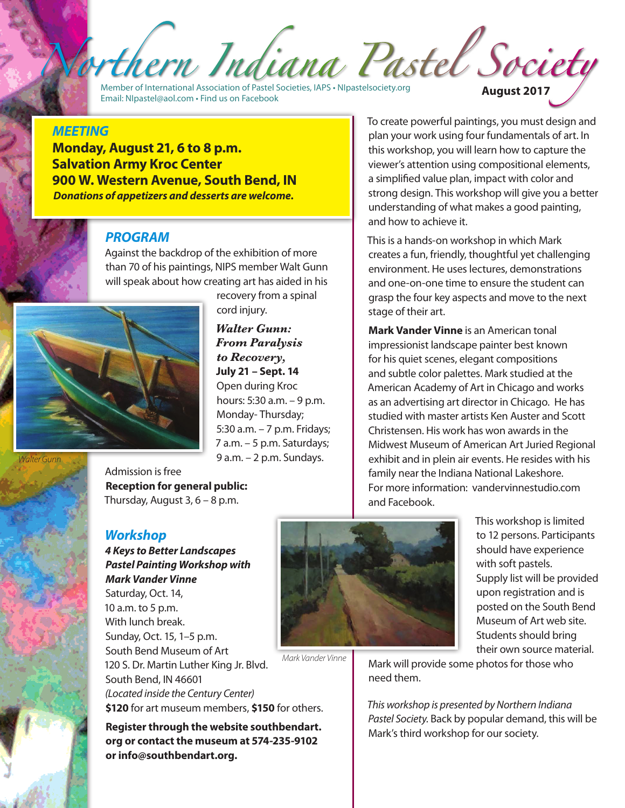Member of International Association of Pastel Societies, IAPS • <NIpastelsociety.org> Email: [NIpastel@aol.com](mailto:NIpastel@aol.com) • Find us on Facebook **August 2017**

#### *MEETING*

**Monday, August 21, 6 to 8 p.m. Salvation Army Kroc Center 900 W. Western Avenue, South Bend, IN** *Donations of appetizers and desserts are welcome.*

#### *PROGRAM*

Against the backdrop of the exhibition of more than 70 of his paintings, NIPS member Walt Gunn will speak about how creating art has aided in his



recovery from a spinal cord injury.

*Walter Gunn: From Paralysis to Recovery,*  **July 21 – Sept. 14** Open during Kroc hours: 5:30 a.m. – 9 p.m. Monday- Thursday; 5:30 a.m. – 7 p.m. Fridays; 7 a.m. – 5 p.m. Saturdays; 9 a.m. – 2 p.m. Sundays.

*Walter Gunn*



Admission is free **Reception for general public:**  Thursday, August  $3, 6 - 8$  p.m.

#### *Workshop*

*4 Keys to Better Landscapes Pastel Painting Workshop with Mark Vander Vinne* Saturday, Oct. 14, 10 a.m. to 5 p.m. With lunch break. Sunday, Oct. 15, 1–5 p.m. South Bend Museum of Art 120 S. Dr. Martin Luther King Jr. Blvd. South Bend, IN 46601 *(Located inside the Century Center)* **\$120** for art museum members, **\$150** for others.

**Register through the website southbendart. org or contact the museum at 574-235-9102 or info@southbendart.org.**

To create powerful paintings, you must design and plan your work using four fundamentals of art. In this workshop, you will learn how to capture the viewer's attention using compositional elements, a simplified value plan, impact with color and strong design. This workshop will give you a better understanding of what makes a good painting, and how to achieve it.

This is a hands-on workshop in which Mark creates a fun, friendly, thoughtful yet challenging environment. He uses lectures, demonstrations and one-on-one time to ensure the student can grasp the four key aspects and move to the next stage of their art.

**Mark Vander Vinne** is an American tonal impressionist landscape painter best known for his quiet scenes, elegant compositions and subtle color palettes. Mark studied at the American Academy of Art in Chicago and works as an advertising art director in Chicago. He has studied with master artists Ken Auster and Scott Christensen. His work has won awards in the Midwest Museum of American Art Juried Regional exhibit and in plein air events. He resides with his family near the Indiana National Lakeshore. For more information: vandervinnestudio.com and Facebook.



*Mark Vander Vinne*

This workshop is limited to 12 persons. Participants should have experience with soft pastels. Supply list will be provided upon registration and is posted on the South Bend Museum of Art web site. Students should bring their own source material.

Mark will provide some photos for those who need them.

*This workshop is presented by Northern Indiana Pastel Society.* Back by popular demand, this will be Mark's third workshop for our society.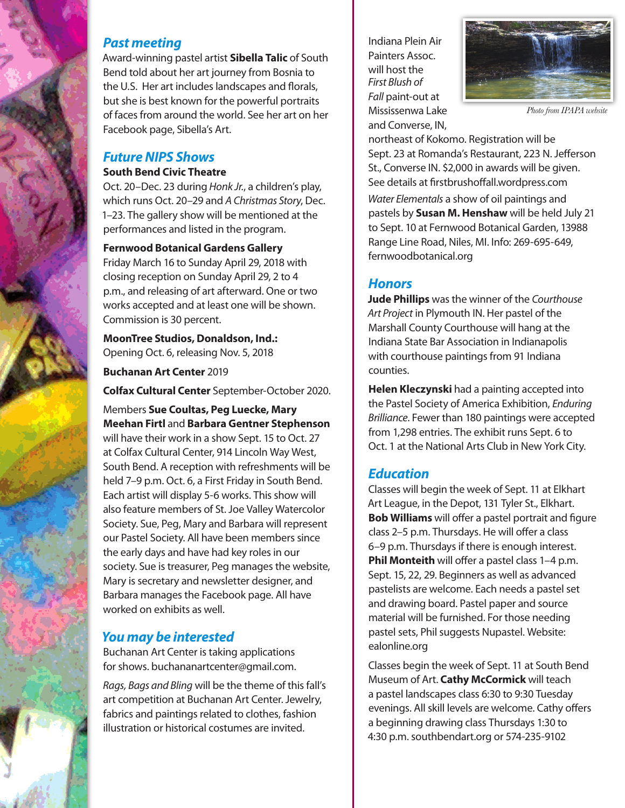### *Past meeting*

Award-winning pastel artist **Sibella Talic** of South Bend told about her art journey from Bosnia to the U.S. Her art includes landscapes and florals, but she is best known for the powerful portraits of faces from around the world. See her art on her Facebook page, Sibella's Art.

### *Future NIPS Shows*

#### **South Bend Civic Theatre**

Oct. 20–Dec. 23 during *Honk Jr.*, a children's play, which runs Oct. 20–29 and *A Christmas Story*, Dec. 1–23. The gallery show will be mentioned at the performances and listed in the program.

#### **Fernwood Botanical Gardens Gallery**

Friday March 16 to Sunday April 29, 2018 with closing reception on Sunday April 29, 2 to 4 p.m., and releasing of art afterward. One or two works accepted and at least one will be shown. Commission is 30 percent.

**MoonTree Studios, Donaldson, Ind.:** Opening Oct. 6, releasing Nov. 5, 2018

**Buchanan Art Center** 2019

**Colfax Cultural Center** September-October 2020.

#### Members **Sue Coultas, Peg Luecke, Mary Meehan Firtl** and **Barbara Gentner Stephenson**

will have their work in a show Sept. 15 to Oct. 27 at Colfax Cultural Center, 914 Lincoln Way West, South Bend. A reception with refreshments will be held 7–9 p.m. Oct. 6, a First Friday in South Bend. Each artist will display 5-6 works. This show will also feature members of St. Joe Valley Watercolor Society. Sue, Peg, Mary and Barbara will represent our Pastel Society. All have been members since the early days and have had key roles in our society. Sue is treasurer, Peg manages the website, Mary is secretary and newsletter designer, and Barbara manages the Facebook page. All have worked on exhibits as well.

# *You may be interested*

Buchanan Art Center is taking applications for shows. buchananartcenter@gmail.com.

*Rags, Bags and Bling* will be the theme of this fall's art competition at Buchanan Art Center. Jewelry, fabrics and paintings related to clothes, fashion illustration or historical costumes are invited.

Indiana Plein Air Painters Assoc. will host the *First Blush of Fall* paint-out at Mississenwa Lake and Converse, IN,



*Photo from IPAPA website*

northeast of Kokomo. Registration will be Sept. 23 at Romanda's Restaurant, 223 N. Jefferson St., Converse IN. \$2,000 in awards will be given. See details at firstbrushoffall.wordpress.com

*Water Elementals* a show of oil paintings and pastels by **Susan M. Henshaw** will be held July 21 to Sept. 10 at Fernwood Botanical Garden, 13988 Range Line Road, Niles, MI. Info: 269-695-649, fernwoodbotanical.org

# *Honors*

**Jude Phillips** was the winner of the *Courthouse Art Project* in Plymouth IN. Her pastel of the Marshall County Courthouse will hang at the Indiana State Bar Association in Indianapolis with courthouse paintings from 91 Indiana counties.

**Helen Kleczynski** had a painting accepted into the Pastel Society of America Exhibition, *Enduring Brilliance*. Fewer than 180 paintings were accepted from 1,298 entries. The exhibit runs Sept. 6 to Oct. 1 at the National Arts Club in New York City.

# *Education*

Classes will begin the week of Sept. 11 at Elkhart Art League, in the Depot, 131 Tyler St., Elkhart. **Bob Williams** will offer a pastel portrait and figure class 2–5 p.m. Thursdays. He will offer a class 6–9 p.m. Thursdays if there is enough interest. **Phil Monteith** will offer a pastel class 1–4 p.m. Sept. 15, 22, 29. Beginners as well as advanced pastelists are welcome. Each needs a pastel set and drawing board. Pastel paper and source material will be furnished. For those needing pastel sets, Phil suggests Nupastel. Website: ealonline.org

Classes begin the week of Sept. 11 at South Bend Museum of Art. **Cathy McCormick** will teach a pastel landscapes class 6:30 to 9:30 Tuesday evenings. All skill levels are welcome. Cathy offers a beginning drawing class Thursdays 1:30 to 4:30 p.m. southbendart.org or 574-235-9102